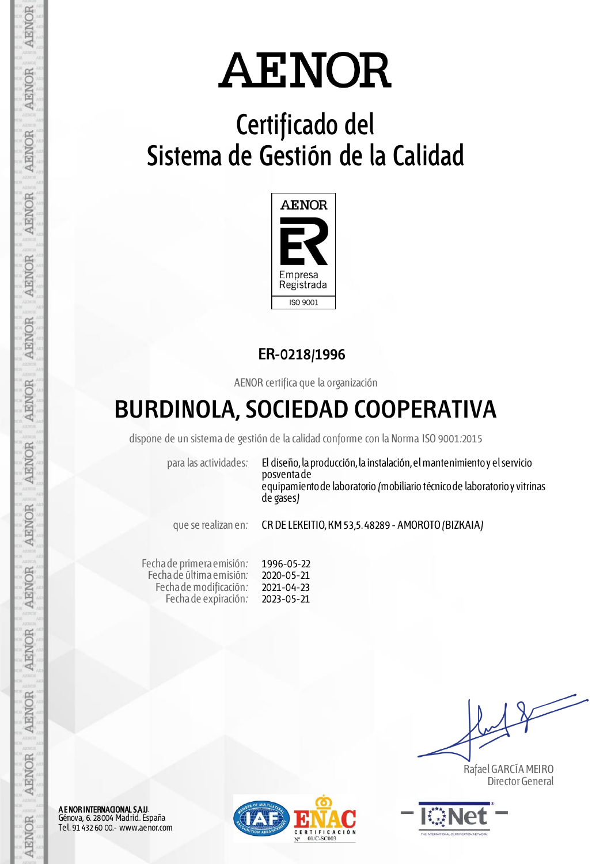## **Certificado del Sistema de Gestión de la Calidad**



### **ER-0218/1996**

AENOR certifica que la organización

## **BURDINOLA, SOCIEDAD COOPERATIVA**

dispone de un sistema de gestión de la calidad conforme con la Norma ISO 9001:2015

para las actividades: El diseño, la producción, la instalación, el mantenimiento y el servicio posventa de equipamiento de laboratorio (mobiliario técnico de laboratorio y vitrinas de gases)

que se realizan en: CR DE LEKEITIO, KM 53,5. 48289 - AMOROTO (BIZKAIA)

Fecha de primera emisión: Fecha de última emisión: Fecha de modificación: Fecha de expiración: 1996-05-22 2020-05-21 2021-04-23 2023-05-21

 Rafael GARCÍA MEIRO Director General



A E NOR INTERNACIONAL S.A.U. Génova, 6. 28004 Madrid. España Tel. 91 432 60 00.- www.aenor.com